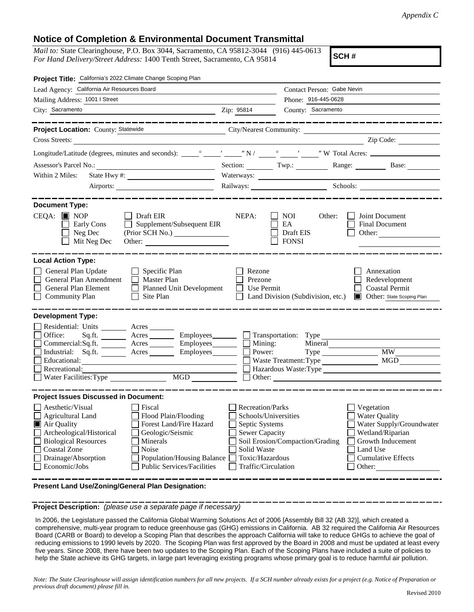## **Notice of Completion & Environmental Document Transmittal**

*Mail to:* State Clearinghouse, P.O. Box 3044, Sacramento, CA 95812-3044 (916) 445-0613 *For Hand Delivery/Street Address:* 1400 Tenth Street, Sacramento, CA 95814

**SCH #**

| Project Title: California's 2022 Climate Change Scoping Plan                                                                                                                                                                                                                                                                                                   |                                                                                                                                                                                                                                |                                                   |                                                                                                                                                            |
|----------------------------------------------------------------------------------------------------------------------------------------------------------------------------------------------------------------------------------------------------------------------------------------------------------------------------------------------------------------|--------------------------------------------------------------------------------------------------------------------------------------------------------------------------------------------------------------------------------|---------------------------------------------------|------------------------------------------------------------------------------------------------------------------------------------------------------------|
| Lead Agency: California Air Resources Board                                                                                                                                                                                                                                                                                                                    | Contact Person: Gabe Nevin                                                                                                                                                                                                     |                                                   |                                                                                                                                                            |
| Mailing Address: 1001   Street                                                                                                                                                                                                                                                                                                                                 | Phone: 916-445-0628                                                                                                                                                                                                            |                                                   |                                                                                                                                                            |
| City: Sacramento<br><u> 1989 - Johann Stoff, Amerikaansk politiker († 1908)</u>                                                                                                                                                                                                                                                                                | Zip: 95814                                                                                                                                                                                                                     | County: Sacramento                                |                                                                                                                                                            |
| _____________<br>Project Location: County: Statewide<br>City/Nearest Community:<br>Cross Streets:                                                                                                                                                                                                                                                              |                                                                                                                                                                                                                                |                                                   | --------------------<br>Zip Code:                                                                                                                          |
|                                                                                                                                                                                                                                                                                                                                                                |                                                                                                                                                                                                                                |                                                   |                                                                                                                                                            |
| Assessor's Parcel No.:<br><u> 1980 - Johann Barbara, martxa alemaniar a</u>                                                                                                                                                                                                                                                                                    | Section: Twp.:                                                                                                                                                                                                                 |                                                   | Range: Base:                                                                                                                                               |
| Within 2 Miles:                                                                                                                                                                                                                                                                                                                                                |                                                                                                                                                                                                                                |                                                   |                                                                                                                                                            |
|                                                                                                                                                                                                                                                                                                                                                                | Railways: Schools: Schools: Charles Schools: Charles Schools: Charles Schools: Charles Schools: Charles Schools: Charles Schools: Charles Schools: Charles Schools: Charles Schools: Charles Schools: Charles Schools: Charles |                                                   |                                                                                                                                                            |
|                                                                                                                                                                                                                                                                                                                                                                |                                                                                                                                                                                                                                |                                                   |                                                                                                                                                            |
| <b>Document Type:</b><br>$CEQA: \blacksquare$ NOP<br>    Draft EIR<br>$\Box$ Supplement/Subsequent EIR<br>Early Cons<br>Neg Dec<br>Mit Neg Dec<br>Other:                                                                                                                                                                                                       | NEPA:                                                                                                                                                                                                                          | Other:<br>NOI.<br>EA<br>Draft EIS<br><b>FONSI</b> | Joint Document<br>Final Document<br>Other: $\qquad \qquad$                                                                                                 |
| <b>Local Action Type:</b>                                                                                                                                                                                                                                                                                                                                      |                                                                                                                                                                                                                                |                                                   |                                                                                                                                                            |
| General Plan Update<br>Specific Plan<br>General Plan Amendment<br><b>Master Plan</b><br>General Plan Element<br>$\Box$<br>Planned Unit Development<br>$\Box$<br><b>Community Plan</b><br>Site Plan                                                                                                                                                             | Rezone<br>Prezone<br><b>Use Permit</b>                                                                                                                                                                                         | Land Division (Subdivision, etc.)                 | Annexation<br>Redevelopment<br><b>Coastal Permit</b><br><b>Other:</b> State Scoping Plan                                                                   |
| <b>Development Type:</b><br>Residential: Units ________ Acres _______<br>Office:<br>Acres<br>Employees________<br>Sq.ft.<br>Commercial:Sq.ft. ________ Acres __________ Employees ________ $\Box$<br>Industrial: Sq.ft. _______ Acres ________ Employees_______<br>Educational:<br>Recreational:<br>MGD<br>Water Facilities: Type                              | Mining:<br>Power:                                                                                                                                                                                                              | Mineral<br>Waste Treatment: Type                  | <b>MW</b><br>Hazardous Waste:Type                                                                                                                          |
| <b>Project Issues Discussed in Document:</b>                                                                                                                                                                                                                                                                                                                   |                                                                                                                                                                                                                                |                                                   |                                                                                                                                                            |
| Aesthetic/Visual<br>Fiscal<br>Flood Plain/Flooding<br><b>Agricultural Land</b><br>Air Quality<br>Forest Land/Fire Hazard<br>Archeological/Historical<br>Geologic/Seismic<br><b>Biological Resources</b><br>Minerals<br>Noise<br><b>Coastal Zone</b><br>Drainage/Absorption<br>Population/Housing Balance<br>Economic/Jobs<br><b>Public Services/Facilities</b> | <b>Recreation/Parks</b><br>Schools/Universities<br>Septic Systems<br><b>Sewer Capacity</b><br>Solid Waste<br>Toxic/Hazardous<br>Traffic/Circulation                                                                            | Soil Erosion/Compaction/Grading                   | Vegetation<br><b>Water Quality</b><br>Water Supply/Groundwater<br>Wetland/Riparian<br>Growth Inducement<br>Land Use<br><b>Cumulative Effects</b><br>Other: |

**Present Land Use/Zoning/General Plan Designation:**

**Project Description:** *(please use a separate page if necessary)*

 In 2006, the Legislature passed the California Global Warming Solutions Act of 2006 [Assembly Bill 32 (AB 32)], which created a comprehensive, multi-year program to reduce greenhouse gas (GHG) emissions in California. AB 32 required the California Air Resources Board (CARB or Board) to develop a Scoping Plan that describes the approach California will take to reduce GHGs to achieve the goal of reducing emissions to 1990 levels by 2020. The Scoping Plan was first approved by the Board in 2008 and must be updated at least every five years. Since 2008, there have been two updates to the Scoping Plan. Each of the Scoping Plans have included a suite of policies to help the State achieve its GHG targets, in large part leveraging existing programs whose primary goal is to reduce harmful air pollution.

*Note: The State Clearinghouse will assign identification numbers for all new projects. If a SCH number already exists for a project (e.g. Notice of Preparation or previous draft document) please fill in.*